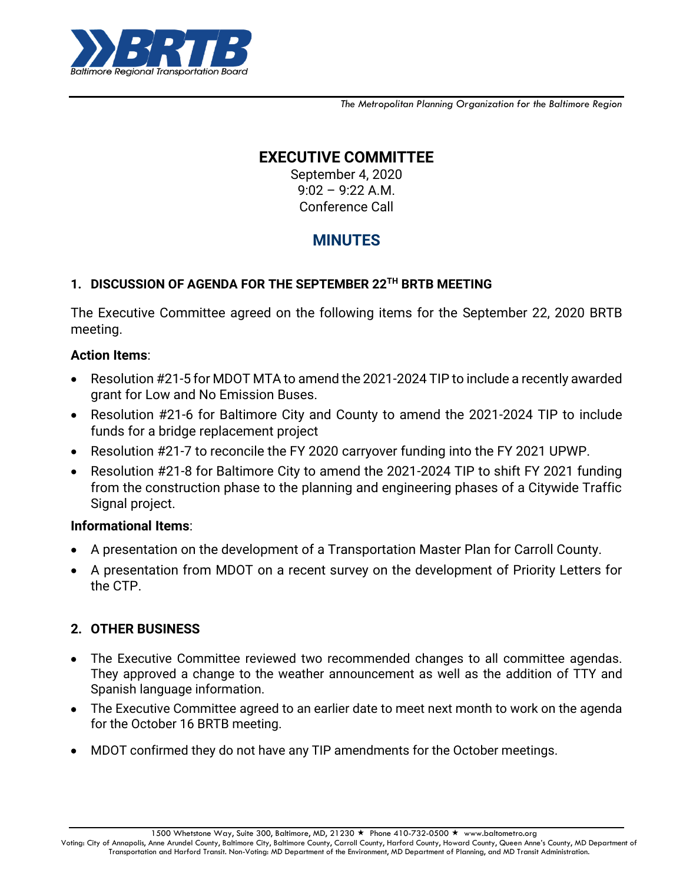

*The Metropolitan Planning Organization for the Baltimore Region*

# **EXECUTIVE COMMITTEE**

September 4, 2020 9:02 – 9:22 A.M. Conference Call

# **MINUTES**

## **1. DISCUSSION OF AGENDA FOR THE SEPTEMBER 22 TH BRTB MEETING**

The Executive Committee agreed on the following items for the September 22, 2020 BRTB meeting.

## **Action Items**:

- Resolution #21-5 for MDOT MTA to amend the 2021-2024 TIP to include a recently awarded grant for Low and No Emission Buses.
- Resolution #21-6 for Baltimore City and County to amend the 2021-2024 TIP to include funds for a bridge replacement project
- Resolution #21-7 to reconcile the FY 2020 carryover funding into the FY 2021 UPWP.
- Resolution #21-8 for Baltimore City to amend the 2021-2024 TIP to shift FY 2021 funding from the construction phase to the planning and engineering phases of a Citywide Traffic Signal project.

## **Informational Items**:

- A presentation on the development of a Transportation Master Plan for Carroll County.
- A presentation from MDOT on a recent survey on the development of Priority Letters for the CTP.

## **2. OTHER BUSINESS**

- The Executive Committee reviewed two recommended changes to all committee agendas. They approved a change to the weather announcement as well as the addition of TTY and Spanish language information.
- The Executive Committee agreed to an earlier date to meet next month to work on the agenda for the October 16 BRTB meeting.
- MDOT confirmed they do not have any TIP amendments for the October meetings.

1500 Whetstone Way, Suite 300, Baltimore, MD, 21230 ★ Phone 410-732-0500 ★ www.baltometro.org

Voting: City of Annapolis, Anne Arundel County, Baltimore City, Baltimore County, Carroll County, Harford County, Howard County, Queen Anne's County, MD Department of Transportation and Harford Transit. Non-Voting: MD Department of the Environment, MD Department of Planning, and MD Transit Administration.